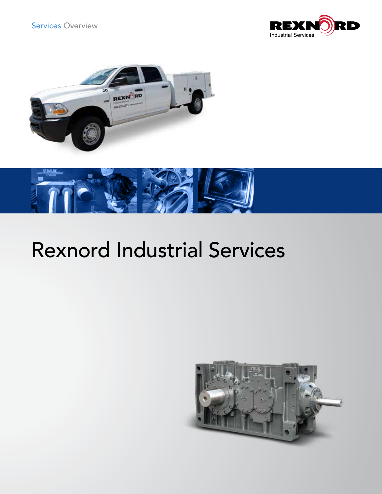Services Overview







# Rexnord Industrial Services

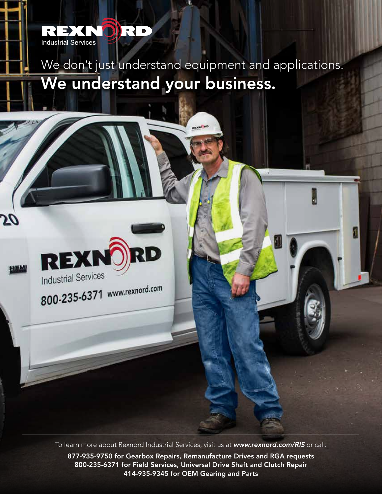

We don't just understand equipment and applications. We understand your business.



56

**TEM** 

To learn more about Rexnord Industrial Services, visit us at *www.rexnord.com/RIS* or call: 877-935-9750 for Gearbox Repairs, Remanufacture Drives and RGA requests 800-235-6371 for Field Services, Universal Drive Shaft and Clutch Repair 414-935-9345 for OEM Gearing and Parts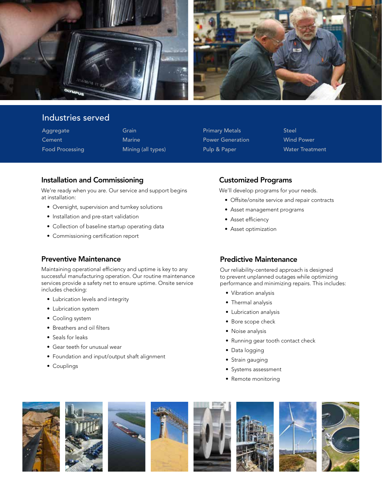

## Industries served

Aggregate **Cement** Food Processing Grain Marine Mining (all types) Primary Metals Power Generation Pulp & Paper

Steel Wind Power Water Treatment

## Installation and Commissioning

We're ready when you are. Our service and support begins at installation:

- Oversight, supervision and turnkey solutions
- Installation and pre-start validation
- Collection of baseline startup operating data
- Commissioning certification report

### Preventive Maintenance

Maintaining operational efficiency and uptime is key to any successful manufacturing operation. Our routine maintenance services provide a safety net to ensure uptime. Onsite service includes checking:

- Lubrication levels and integrity
- Lubrication system
- Cooling system
- Breathers and oil filters
- Seals for leaks
- Gear teeth for unusual wear
- Foundation and input/output shaft alignment
- Couplings

## Customized Programs

We'll develop programs for your needs.

- Offsite/onsite service and repair contracts
- Asset management programs
- Asset efficiency
- Asset optimization

### Predictive Maintenance

Our reliability-centered approach is designed to prevent unplanned outages while optimizing performance and minimizing repairs. This includes:

- Vibration analysis
- Thermal analysis
- Lubrication analysis
- Bore scope check
- Noise analysis
- Running gear tooth contact check
- Data logging
- Strain gauging
- Systems assessment
- Remote monitoring













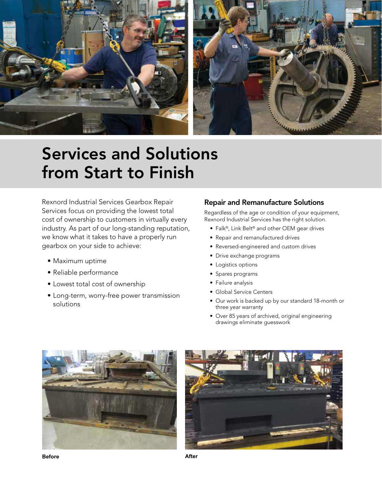

## Services and Solutions from Start to Finish

Rexnord Industrial Services Gearbox Repair Services focus on providing the lowest total cost of ownership to customers in virtually every industry. As part of our long-standing reputation, we know what it takes to have a properly run gearbox on your side to achieve:

- Maximum uptime
- Reliable performance
- Lowest total cost of ownership
- Long-term, worry-free power transmission solutions

## Repair and Remanufacture Solutions

Regardless of the age or condition of your equipment, Rexnord Industrial Services has the right solution.

- Falk®, Link Belt® and other OEM gear drives
- Repair and remanufactured drives
- Reversed-engineered and custom drives
- Drive exchange programs
- Logistics options
- Spares programs
- Failure analysis
- Global Service Centers
- Our work is backed up by our standard 18-month or three year warranty
- Over 85 years of archived, original engineering drawings eliminate guesswork





**Before After**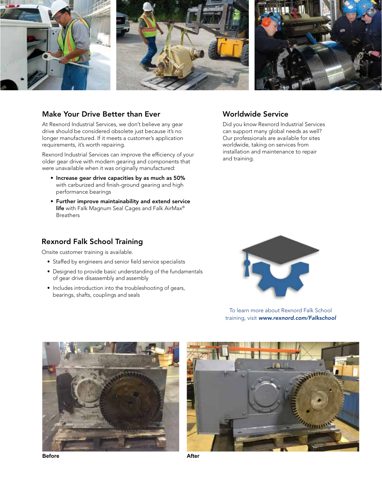

### Make Your Drive Better than Ever

At Rexnord Industrial Services, we don't believe any gear drive should be considered obsolete just because it's no longer manufactured. If it meets a customer's application requirements, it's worth repairing.

Rexnord Industrial Services can improve the efficiency of your older gear drive with modern gearing and components that were unavailable when it was originally manufactured:

- Increase gear drive capacities by as much as 50% with carburized and finish-ground gearing and high performance bearings
- Further improve maintainability and extend service life with Falk Magnum Seal Cages and Falk AirMax® **Breathers**

## Rexnord Falk School Training

Onsite customer training is available.

- Staffed by engineers and senior field service specialists
- Designed to provide basic understanding of the fundamentals of gear drive disassembly and assembly
- Includes introduction into the troubleshooting of gears, bearings, shafts, couplings and seals



Worldwide Service

and training.

Did you know Rexnord Industrial Services can support many global needs as well? Our professionals are available for sites worldwide, taking on services from installation and maintenance to repair

To learn more about Rexnord Falk School training, visit *www.rexnord.com/Falkschool*





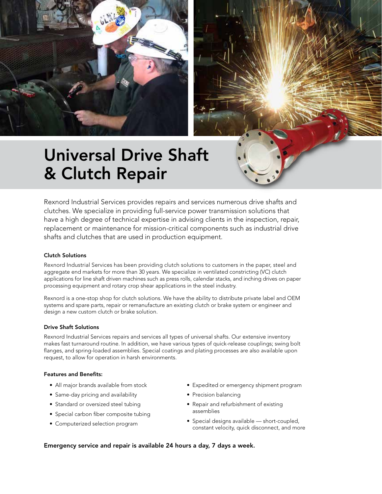



## Universal Drive Shaft & Clutch Repair

Rexnord Industrial Services provides repairs and services numerous drive shafts and clutches. We specialize in providing full-service power transmission solutions that have a high degree of technical expertise in advising clients in the inspection, repair, replacement or maintenance for mission-critical components such as industrial drive shafts and clutches that are used in production equipment.

#### Clutch Solutions

Rexnord Industrial Services has been providing clutch solutions to customers in the paper, steel and aggregate end markets for more than 30 years. We specialize in ventilated constricting (VC) clutch applications for line shaft driven machines such as press rolls, calendar stacks, and inching drives on paper processing equipment and rotary crop shear applications in the steel industry.

Rexnord is a one-stop shop for clutch solutions. We have the ability to distribute private label and OEM systems and spare parts, repair or remanufacture an existing clutch or brake system or engineer and design a new custom clutch or brake solution.

#### Drive Shaft Solutions

Rexnord Industrial Services repairs and services all types of universal shafts. Our extensive inventory makes fast turnaround routine. In addition, we have various types of quick-release couplings; swing bolt flanges, and spring-loaded assemblies. Special coatings and plating processes are also available upon request, to allow for operation in harsh environments.

#### Features and Benefits:

- All major brands available from stock
- Same-day pricing and availability
- Standard or oversized steel tubing
- Special carbon fiber composite tubing
- Computerized selection program
- Expedited or emergency shipment program
- Precision balancing
- Repair and refurbishment of existing assemblies
- Special designs available short-coupled, constant velocity, quick disconnect, and more

#### Emergency service and repair is available 24 hours a day, 7 days a week.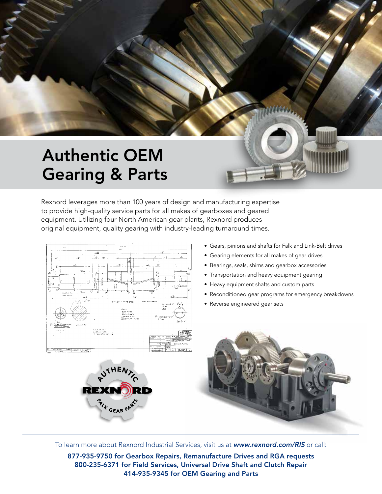## Authentic OEM Gearing & Parts

Rexnord leverages more than 100 years of design and manufacturing expertise to provide high-quality service parts for all makes of gearboxes and geared equipment. Utilizing four North American gear plants, Rexnord produces original equipment, quality gearing with industry-leading turnaround times.





- Gears, pinions and shafts for Falk and Link-Belt drives
- Gearing elements for all makes of gear drives
- Bearings, seals, shims and gearbox accessories
- Transportation and heavy equipment gearing
- Heavy equipment shafts and custom parts
- Reconditioned gear programs for emergency breakdowns
- Reverse engineered gear sets



To learn more about Rexnord Industrial Services, visit us at *www.rexnord.com/RIS* or call:

877-935-9750 for Gearbox Repairs, Remanufacture Drives and RGA requests 800-235-6371 for Field Services, Universal Drive Shaft and Clutch Repair 414-935-9345 for OEM Gearing and Parts